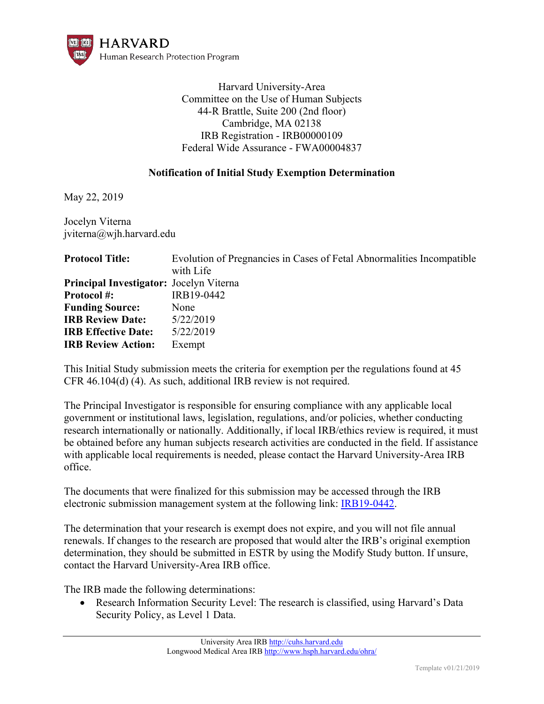

Harvard University-Area Committee on the Use of Human Subjects 44-R Brattle, Suite 200 (2nd floor) Cambridge, MA 02138 IRB Registration - IRB00000109 Federal Wide Assurance - FWA00004837

## **Notification of Initial Study Exemption Determination**

May 22, 2019

Jocelyn Viterna jviterna@wjh.harvard.edu

| <b>Protocol Title:</b>                         | Evolution of Pregnancies in Cases of Fetal Abnormalities Incompatible |
|------------------------------------------------|-----------------------------------------------------------------------|
|                                                | with Life                                                             |
| <b>Principal Investigator:</b> Jocelyn Viterna |                                                                       |
| <b>Protocol#:</b>                              | IRB19-0442                                                            |
| <b>Funding Source:</b>                         | None                                                                  |
| <b>IRB Review Date:</b>                        | 5/22/2019                                                             |
| <b>IRB</b> Effective Date:                     | 5/22/2019                                                             |
| <b>IRB Review Action:</b>                      | Exempt                                                                |

This Initial Study submission meets the criteria for exemption per the regulations found at 45 CFR 46.104(d) (4). As such, additional IRB review is not required.

The Principal Investigator is responsible for ensuring compliance with any applicable local government or institutional laws, legislation, regulations, and/or policies, whether conducting research internationally or nationally. Additionally, if local IRB/ethics review is required, it must be obtained before any human subjects research activities are conducted in the field. If assistance with applicable local requirements is needed, please contact the Harvard University-Area IRB office.

The documents that were finalized for this submission may be accessed through the IRB electronic submission management system at the following link: [IRB19-0442.](https://irb.harvard.edu/IRB/sd/Rooms/DisplayPages/LayoutInitial?Container=com.webridge.entity.Entity[OID[D4EA5430404BED4D9296B4B0E38C2C38]])

The determination that your research is exempt does not expire, and you will not file annual renewals. If changes to the research are proposed that would alter the IRB's original exemption determination, they should be submitted in ESTR by using the Modify Study button. If unsure, contact the Harvard University-Area IRB office.

The IRB made the following determinations:

 Research Information Security Level: The research is classified, using Harvard's Data Security Policy, as Level 1 Data.